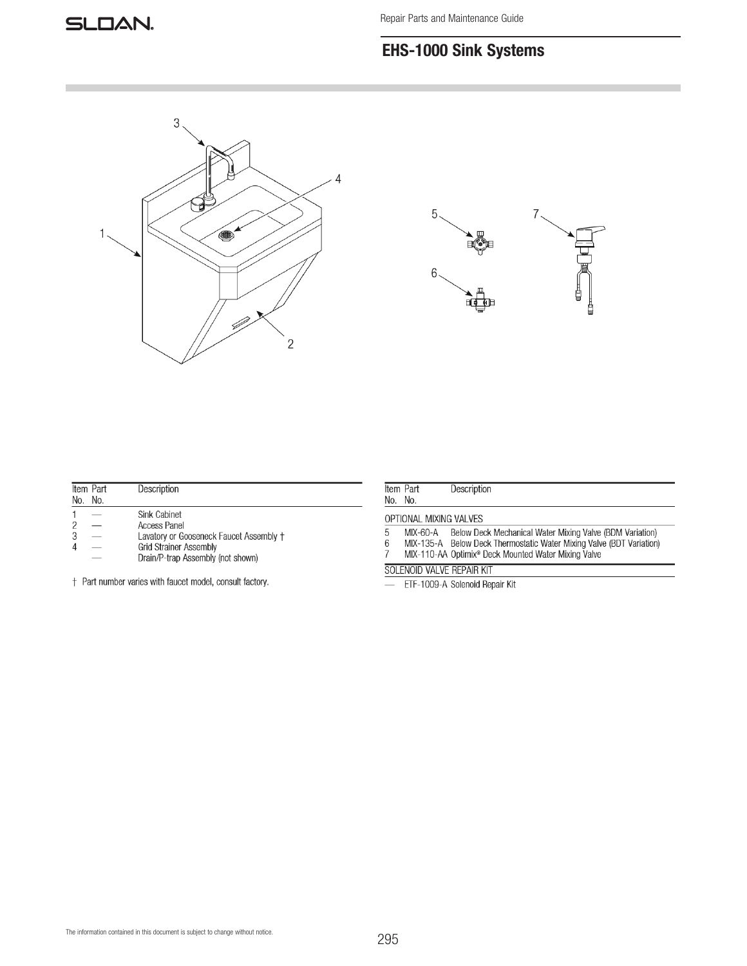# EHS-1000 Sink Systems





| No. No. | Item Part | Description                             |
|---------|-----------|-----------------------------------------|
|         |           | Sink Cabinet                            |
|         |           | <b>Access Panel</b>                     |
|         |           | Lavatory or Gooseneck Faucet Assembly + |
|         |           | <b>Grid Strainer Assembly</b>           |
|         |           | Drain/P-trap Assembly (not shown)       |
|         |           |                                         |

† Part number varies with faucet model, consult factory.

|                        | Item Part | Description                                                          |  |  |
|------------------------|-----------|----------------------------------------------------------------------|--|--|
|                        | No. No.   |                                                                      |  |  |
| OPTIONAL MIXING VALVES |           |                                                                      |  |  |
| 5                      | MIX-60-A  | Below Deck Mechanical Water Mixing Valve (BDM Variation)             |  |  |
| 6                      |           | MIX-135-A Below Deck Thermostatic Water Mixing Valve (BDT Variation) |  |  |
|                        |           | MIX-110-AA Optimix <sup>®</sup> Deck Mounted Water Mixing Valve      |  |  |

### SOLENOID VALVE REPAIR KIT

ETF-1009-A Solenoid Repair Kit  $\frac{1}{2}$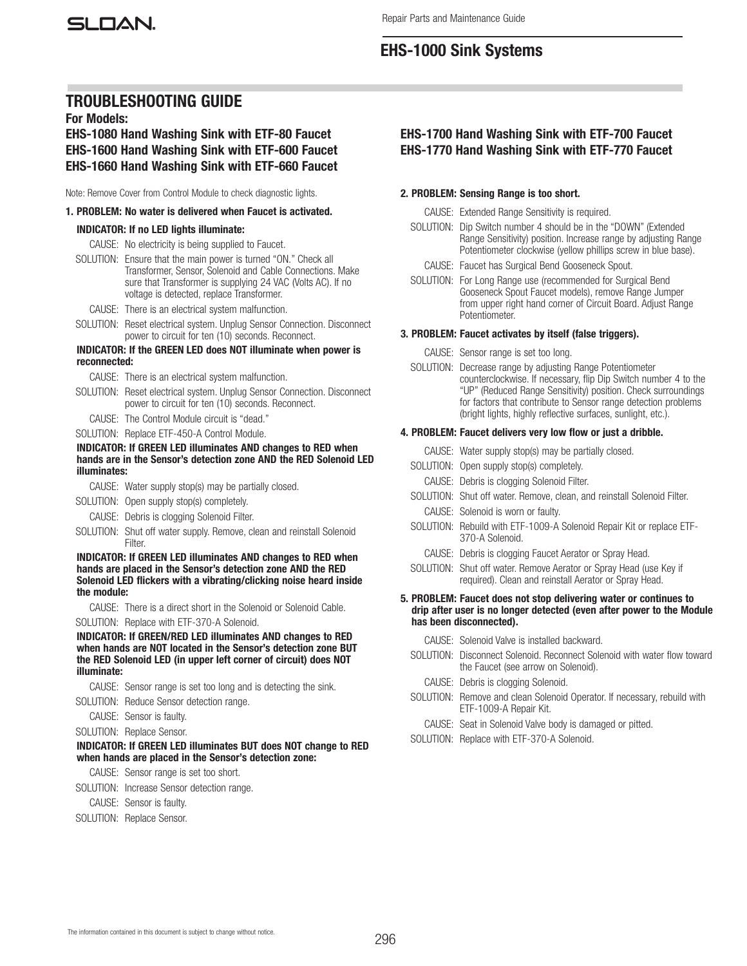# EHS-1000 Sink Systems

## TROUBLESHOOTING GUIDE

For Models:

### EHS-1080 Hand Washing Sink with ETF-80 Faucet EHS-1600 Hand Washing Sink with ETF-600 Faucet EHS-1660 Hand Washing Sink with ETF-660 Faucet

Note: Remove Cover from Control Module to check diagnostic lights.

#### 1. PROBLEM: No water is delivered when Faucet is activated.

#### INDICATOR: If no LED lights illuminate:

CAUSE: No electricity is being supplied to Faucet.

- SOLUTION: Ensure that the main power is turned "ON." Check all Transformer, Sensor, Solenoid and Cable Connections. Make sure that Transformer is supplying 24 VAC (Volts AC). If no voltage is detected, replace Transformer.
	- CAUSE: There is an electrical system malfunction.
- SOLUTION: Reset electrical system. Unplug Sensor Connection. Disconnect power to circuit for ten (10) seconds. Reconnect.

#### INDICATOR: If the GREEN LED does NOT illuminate when power is reconnected:

CAUSE: There is an electrical system malfunction.

- SOLUTION: Reset electrical system. Unplug Sensor Connection. Disconnect power to circuit for ten (10) seconds. Reconnect.
- CAUSE: The Control Module circuit is "dead."
- SOLUTION: Replace ETF-450-A Control Module.

#### INDICATOR: If GREEN LED illuminates AND changes to RED when hands are in the Sensor's detection zone AND the RED Solenoid LED illuminates:

CAUSE: Water supply stop(s) may be partially closed.

- SOLUTION: Open supply stop(s) completely.
- CAUSE: Debris is clogging Solenoid Filter.
- SOLUTION: Shut off water supply. Remove, clean and reinstall Solenoid Filter.

#### INDICATOR: If GREEN LED illuminates AND changes to RED when hands are placed in the Sensor's detection zone AND the RED Solenoid LED flickers with a vibrating/clicking noise heard inside the module:

CAUSE: There is a direct short in the Solenoid or Solenoid Cable. SOLUTION: Replace with ETF-370-A Solenoid.

INDICATOR: If GREEN/RED LED illuminates AND changes to RED when hands are NOT located in the Sensor's detection zone BUT the RED Solenoid LED (in upper left corner of circuit) does NOT illuminate:

- CAUSE: Sensor range is set too long and is detecting the sink. SOLUTION: Reduce Sensor detection range.
- CAUSE: Sensor is faulty.

## SOLUTION: Replace Sensor.

# INDICATOR: If GREEN LED illuminates BUT does NOT change to RED

when hands are placed in the Sensor's detection zone:

CAUSE: Sensor range is set too short.

- SOLUTION: Increase Sensor detection range.
- CAUSE: Sensor is faulty.
- SOLUTION: Replace Sensor.

### EHS-1700 Hand Washing Sink with ETF-700 Faucet EHS-1770 Hand Washing Sink with ETF-770 Faucet

#### 2. PROBLEM: Sensing Range is too short.

- CAUSE: Extended Range Sensitivity is required.
- SOLUTION: Dip Switch number 4 should be in the "DOWN" (Extended Range Sensitivity) position. Increase range by adjusting Range Potentiometer clockwise (yellow phillips screw in blue base).
	- CAUSE: Faucet has Surgical Bend Gooseneck Spout.
- SOLUTION: For Long Range use (recommended for Surgical Bend Gooseneck Spout Faucet models), remove Range Jumper from upper right hand corner of Circuit Board. Adjust Range Potentiometer.

#### 3. PROBLEM: Faucet activates by itself (false triggers).

- CAUSE: Sensor range is set too long.
- SOLUTION: Decrease range by adjusting Range Potentiometer counterclockwise. If necessary, flip Dip Switch number 4 to the "UP" (Reduced Range Sensitivity) position. Check surroundings for factors that contribute to Sensor range detection problems (bright lights, highly reflective surfaces, sunlight, etc.).

#### 4. PROBLEM: Faucet delivers very low flow or just a dribble.

- CAUSE: Water supply stop(s) may be partially closed.
- SOLUTION: Open supply stop(s) completely.
	- CAUSE: Debris is clogging Solenoid Filter.
- SOLUTION: Shut off water. Remove, clean, and reinstall Solenoid Filter. CAUSE: Solenoid is worn or faulty.
- SOLUTION: Rebuild with ETF-1009-A Solenoid Repair Kit or replace ETF-370-A Solenoid.
	- CAUSE: Debris is clogging Faucet Aerator or Spray Head.
- SOLUTION: Shut off water. Remove Aerator or Spray Head (use Key if required). Clean and reinstall Aerator or Spray Head.

#### 5. PROBLEM: Faucet does not stop delivering water or continues to drip after user is no longer detected (even after power to the Module has been disconnected).

- CAUSE: Solenoid Valve is installed backward.
- SOLUTION: Disconnect Solenoid. Reconnect Solenoid with water flow toward the Faucet (see arrow on Solenoid).
	- CAUSE: Debris is clogging Solenoid.
- SOLUTION: Remove and clean Solenoid Operator. If necessary, rebuild with ETF-1009-A Repair Kit.
	- CAUSE: Seat in Solenoid Valve body is damaged or pitted.
- SOLUTION: Replace with ETF-370-A Solenoid.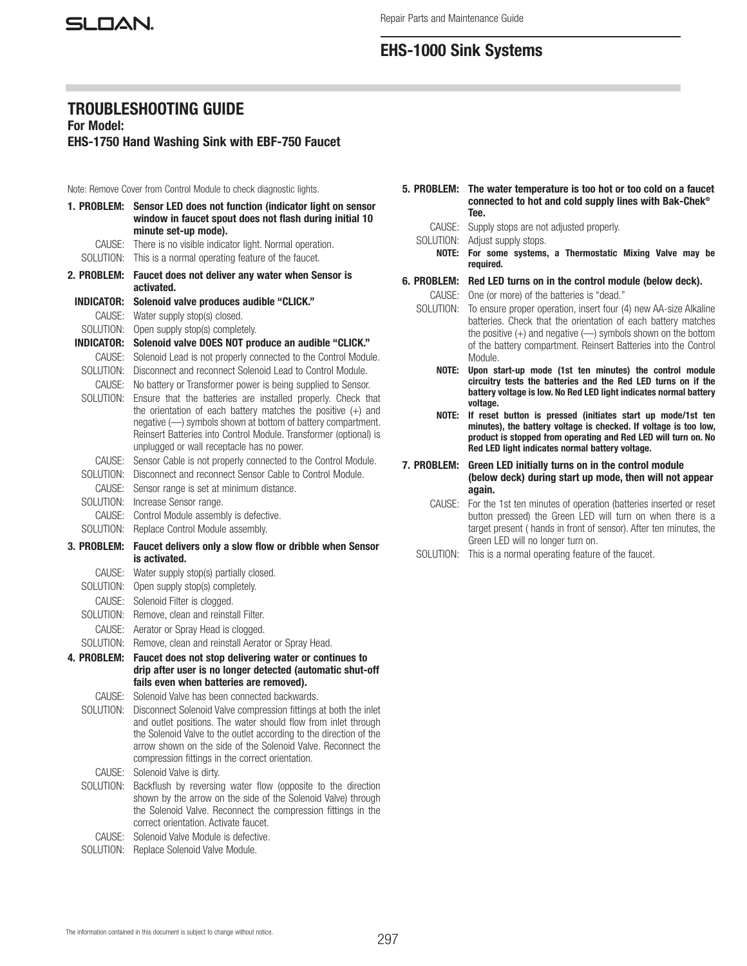SLOAN.

# EHS-1000 Sink Systems

## TROUBLESHOOTING GUIDE

For Model:

EHS-1750 Hand Washing Sink with EBF-750 Faucet

Note: Remove Cover from Control Module to check diagnostic lights.

| 1. PROBLEM:       | Sensor LED does not function (indicator light on sensor<br>window in faucet spout does not flash during initial 10<br>minute set-up mode). |  |
|-------------------|--------------------------------------------------------------------------------------------------------------------------------------------|--|
| CAUSE:            | There is no visible indicator light. Normal operation.                                                                                     |  |
| SOLUTION:         | This is a normal operating feature of the faucet.                                                                                          |  |
| 2. PROBLEM:       | Faucet does not deliver any water when Sensor is<br>activated.                                                                             |  |
| <b>INDICATOR:</b> | Solenoid valve produces audible "CLICK."                                                                                                   |  |
| CAUSE:            | Water supply stop(s) closed.                                                                                                               |  |
| SOLUTION:         | Open supply stop(s) completely.                                                                                                            |  |
| <b>INDICATOR:</b> | Solenoid valve DOES NOT produce an audible "CLICK."                                                                                        |  |
| CAUSE:            | Solenoid Lead is not properly connected to the Control Module.                                                                             |  |
| SOLUTION:         | Disconnect and reconnect Solenoid Lead to Control Module.                                                                                  |  |
| CAUSE:            | No battery or Transformer power is being supplied to Sensor.                                                                               |  |
| SOLUTION:         | Ensure that the batteries are installed properly. Check that                                                                               |  |
|                   | the orientation of each battery matches the positive $(+)$ and<br>negative (-) symbols shown at bottom of battery compartment.             |  |
|                   | Reinsert Batteries into Control Module. Transformer (optional) is                                                                          |  |
|                   | unplugged or wall receptacle has no power.                                                                                                 |  |
| CAUSE:            | Sensor Cable is not properly connected to the Control Module.                                                                              |  |
| SOLUTION:         | Disconnect and reconnect Sensor Cable to Control Module.                                                                                   |  |
| CAUSE:            | Sensor range is set at minimum distance.                                                                                                   |  |
| SOLUTION:         | Increase Sensor range.                                                                                                                     |  |
| CAUSE:            | Control Module assembly is defective.                                                                                                      |  |
| SOLUTION:         | Replace Control Module assembly.                                                                                                           |  |
| 3. PROBLEM:       | Faucet delivers only a slow flow or dribble when Sensor<br>is activated.                                                                   |  |
| CAUSE:            | Water supply stop(s) partially closed.                                                                                                     |  |
| SOLUTION:         | Open supply stop(s) completely.                                                                                                            |  |
| CAUSE:            | Solenoid Filter is clogged.                                                                                                                |  |
| SOLUTION:         | Remove, clean and reinstall Filter.                                                                                                        |  |
| CAUSE:            | Aerator or Spray Head is clogged.                                                                                                          |  |
| SOLUTION:         | Remove, clean and reinstall Aerator or Spray Head.                                                                                         |  |
| 4. PROBLEM:       | Faucet does not stop delivering water or continues to                                                                                      |  |
|                   | drip after user is no longer detected (automatic shut-off<br>fails even when batteries are removed).                                       |  |
| CAUSE:            | Solenoid Valve has been connected backwards.                                                                                               |  |
| SOLUTION:         | Disconnect Solenoid Valve compression fittings at both the inlet                                                                           |  |
|                   | and outlet positions. The water should flow from inlet through                                                                             |  |
|                   | the Solenoid Valve to the outlet according to the direction of the                                                                         |  |
|                   | arrow shown on the side of the Solenoid Valve. Reconnect the                                                                               |  |
|                   | compression fittings in the correct orientation.                                                                                           |  |
| CAUSE:            |                                                                                                                                            |  |
|                   | Solenoid Valve is dirty.                                                                                                                   |  |
| SOLUTION:         | Backflush by reversing water flow (opposite to the direction                                                                               |  |
|                   | shown by the arrow on the side of the Solenoid Valve) through                                                                              |  |
|                   | the Solenoid Valve. Reconnect the compression fittings in the<br>correct orientation. Activate faucet.                                     |  |
| CAUSE:            | Solenoid Valve Module is defective.                                                                                                        |  |

- 5. PROBLEM: The water temperature is too hot or too cold on a faucet connected to hot and cold supply lines with Bak-Chek® Tee.
	- CAUSE: Supply stops are not adjusted properly.
	- SOLUTION: Adjust supply stops.

NOTE: For some systems, a Thermostatic Mixing Valve may be required.

- 6. PROBLEM: Red LED turns on in the control module (below deck). CAUSE: One (or more) of the batteries is "dead."
	- SOLUTION: To ensure proper operation, insert four (4) new AA-size Alkaline batteries. Check that the orientation of each battery matches the positive  $(+)$  and negative  $(+)$  symbols shown on the bottom of the battery compartment. Reinsert Batteries into the Control Module.
		- NOTE: Upon start-up mode (1st ten minutes) the control module circuitry tests the batteries and the Red LED turns on if the battery voltage is low. No Red LED light indicates normal battery voltage.
		- NOTE: If reset button is pressed (initiates start up mode/1st ten minutes), the battery voltage is checked. If voltage is too low, product is stopped from operating and Red LED will turn on. No Red LED light indicates normal battery voltage.

7. PROBLEM: Green LED initially turns on in the control module (below deck) during start up mode, then will not appear again.

- CAUSE: For the 1st ten minutes of operation (batteries inserted or reset button pressed) the Green LED will turn on when there is a target present ( hands in front of sensor). After ten minutes, the Green LED will no longer turn on.
- SOLUTION: This is a normal operating feature of the faucet.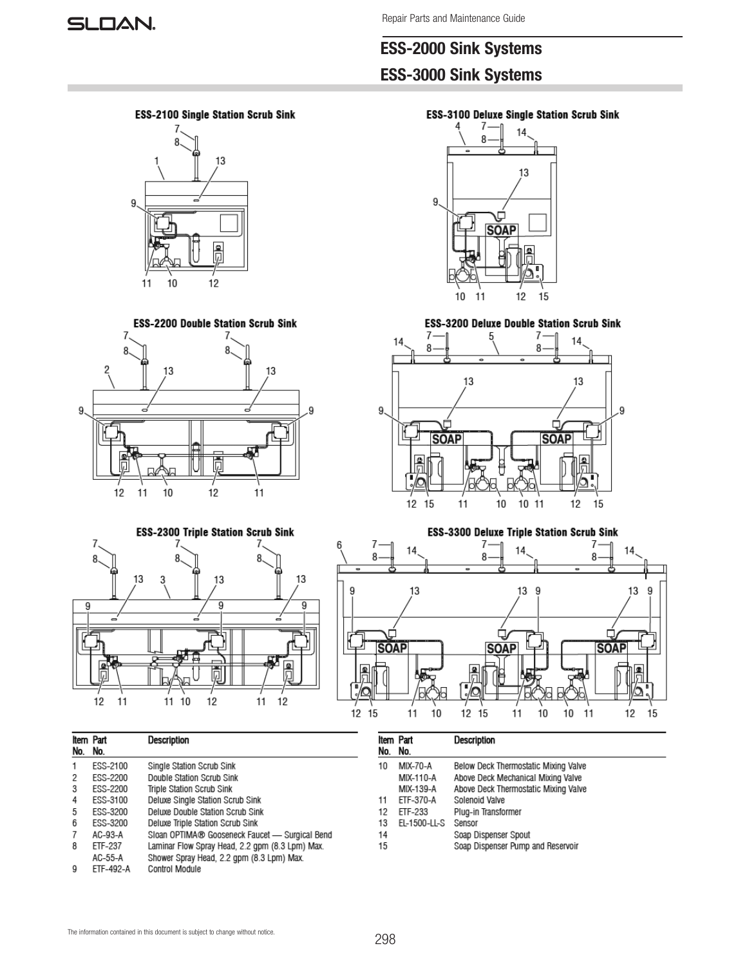# ESS-2000 Sink Systems ESS-3000 Sink Systems





**ESS-2200 Double Station Scrub Sink** 



**ESS-3100 Deluxe Single Station Scrub Sink** 



**ESS-3200 Deluxe Double Station Scrub Sink** 







| Item Part<br>No. | No.             | <b>Description</b>                              |
|------------------|-----------------|-------------------------------------------------|
| 1                | ESS-2100        | Single Station Scrub Sink                       |
| 2                | ESS-2200        | Double Station Scrub Sink                       |
| 3                | ESS-2200        | Triple Station Scrub Sink                       |
| 4                | ESS-3100        | Deluxe Single Station Scrub Sink                |
| 5                | <b>ESS-3200</b> | Deluxe Double Station Scrub Sink                |
| 6                | ESS-3200        | Deluxe Triple Station Scrub Sink                |
|                  | $AC-93-A$       | Sloan OPTIMA® Gooseneck Faucet - Surgical Bend  |
| 8                | ETF-237         | Laminar Flow Spray Head, 2.2 gpm (8.3 Lpm) Max. |
|                  | AC-55-A         | Shower Spray Head, 2.2 qpm (8.3 Lpm) Max.       |
| 9                | ETF-492-A       | Control Module                                  |

| No. | Item Part<br>No. | <b>Description</b>                   |
|-----|------------------|--------------------------------------|
|     |                  |                                      |
| 10  | MIX-70-A         | Below Deck Thermostatic Mixing Valve |
|     | MIX-110-A        | Above Deck Mechanical Mixing Valve   |
|     | MIX-139-A        | Above Deck Thermostatic Mixing Valve |
| 11  | ETF-370-A        | Solenoid Valve                       |
| 12  | ETF-233          | Plug-in Transformer                  |
| 13  | EL-1500-LL-S     | Sensor                               |
| 14  |                  | Soap Dispenser Spout                 |
| 15  |                  | Soap Dispenser Pump and Reservoir    |
|     |                  |                                      |